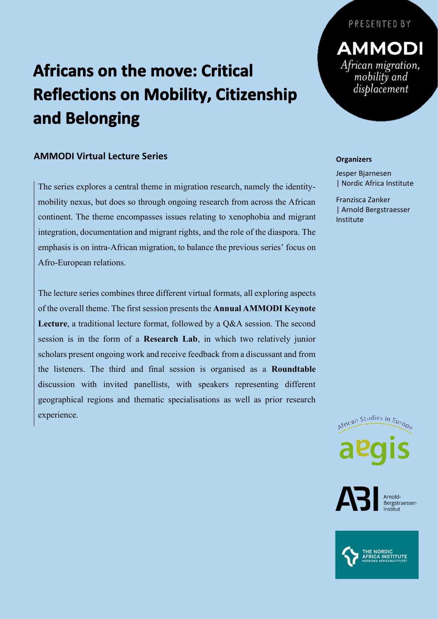# **Africans on the move: Critical Reflections on Mobility, Citizenship** and Belonging

### **AMMODI Virtual Lecture Series Constantine Constantine Constantine Constantine Constantine Constantine Constantine Constantine Constantine Constantine Constantine Constantine Constantine Constantine Constantine Constanti**

The series explores a central theme in migration research, namely the identitymobility nexus, but does so through ongoing research from across the African continent. The theme encompasses issues relating to xenophobia and migrant integration, documentation and migrant rights, and the role of the diaspora. The emphasis is on intra-African migration, to balance the previous series' focus on Afro-European relations.

The lecture series combines three different virtual formats, all exploring aspects of the overall theme. The first session presents the **Annual AMMODI Keynote Lecture**, a traditional lecture format, followed by a Q&A session. The second session is in the form of a **Research Lab**, in which two relatively junior scholars present ongoing work and receive feedback from a discussant and from the listeners. The third and final session is organised as a **Roundtable** discussion with invited panellists, with speakers representing different geographical regions and thematic specialisations as well as prior research experience.

### **AMMODI** African migration, mobility and displacement

Jesper Bjarnesen | Nordic Africa Institute

Franzisca Zanker | Arnold Bergstraesser Institute





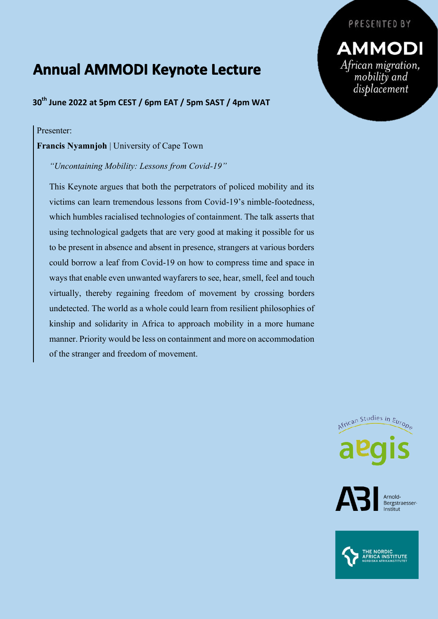PRESENTED BY

### **Annual AMMODI Keynote Lecture**

**30th June 2022 at 5pm CEST / 6pm EAT / 5pm SAST / 4pm WAT**

Presenter:

**Francis Nyamnjoh** | University of Cape Town

*"Uncontaining Mobility: Lessons from Covid-19"*

This Keynote argues that both the perpetrators of policed mobility and its victims can learn tremendous lessons from Covid-19's nimble-footedness, which humbles racialised technologies of containment. The talk asserts that using technological gadgets that are very good at making it possible for us to be present in absence and absent in presence, strangers at various borders could borrow a leaf from Covid-19 on how to compress time and space in ways that enable even unwanted wayfarers to see, hear, smell, feel and touch virtually, thereby regaining freedom of movement by crossing borders undetected. The world as a whole could learn from resilient philosophies of kinship and solidarity in Africa to approach mobility in a more humane manner. Priority would be less on containment and more on accommodation of the stranger and freedom of movement.

AMMODI African migration, mobility and displacement